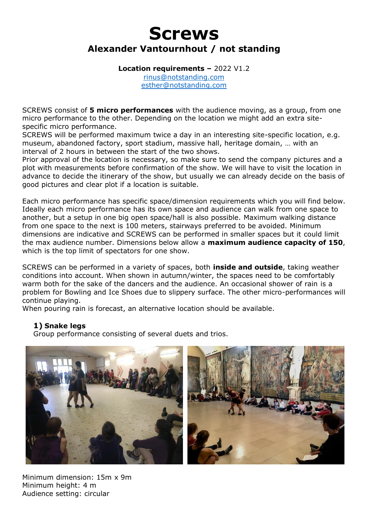# **Screws Alexander Vantournhout / not standing**

**Location requirements –** 2022 V1.2

[rinus@notstanding.com](mailto:rinus@notstanding.com) [esther@notstanding.com](mailto:esther@notstanding.com)

SCREWS consist of **5 micro performances** with the audience moving, as a group, from one micro performance to the other. Depending on the location we might add an extra sitespecific micro performance.

SCREWS will be performed maximum twice a day in an interesting site-specific location, e.g. museum, abandoned factory, sport stadium, massive hall, heritage domain, … with an interval of 2 hours in between the start of the two shows.

Prior approval of the location is necessary, so make sure to send the company pictures and a plot with measurements before confirmation of the show. We will have to visit the location in advance to decide the itinerary of the show, but usually we can already decide on the basis of good pictures and clear plot if a location is suitable.

Each micro performance has specific space/dimension requirements which you will find below. Ideally each micro performance has its own space and audience can walk from one space to another, but a setup in one big open space/hall is also possible. Maximum walking distance from one space to the next is 100 meters, stairways preferred to be avoided. Minimum dimensions are indicative and SCREWS can be performed in smaller spaces but it could limit the max audience number. Dimensions below allow a **maximum audience capacity of 150**, which is the top limit of spectators for one show.

SCREWS can be performed in a variety of spaces, both **inside and outside**, taking weather conditions into account. When shown in autumn/winter, the spaces need to be comfortably warm both for the sake of the dancers and the audience. An occasional shower of rain is a problem for Bowling and Ice Shoes due to slippery surface. The other micro-performances will continue playing.

When pouring rain is forecast, an alternative location should be available.

#### **1) Snake legs**

Group performance consisting of several duets and trios.



Minimum dimension: 15m x 9m Minimum height: 4 m Audience setting: circular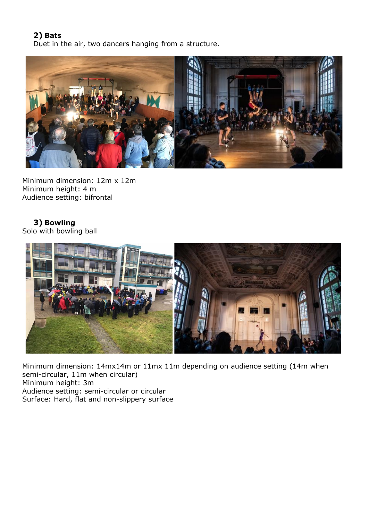### **2) Bats**

Duet in the air, two dancers hanging from a structure.



Minimum dimension: 12m x 12m Minimum height: 4 m Audience setting: bifrontal

**3) Bowling**  Solo with bowling ball



Minimum dimension: 14mx14m or 11mx 11m depending on audience setting (14m when semi-circular, 11m when circular) Minimum height: 3m Audience setting: semi-circular or circular Surface: Hard, flat and non-slippery surface